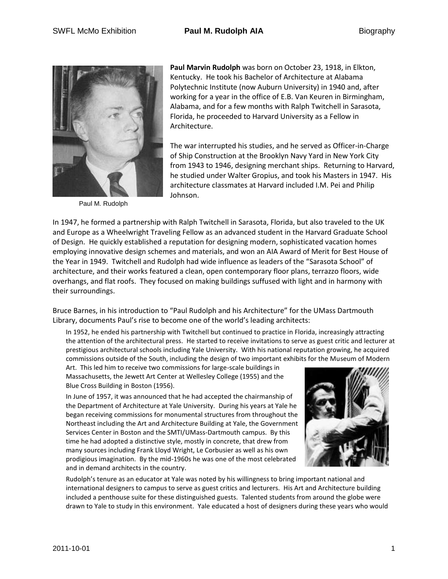

Paul M. Rudolph

**Paul Marvin Rudolph** was born on October 23, 1918, in Elkton, Kentucky. He took his Bachelor of Architecture at Alabama Polytechnic Institute (now Auburn University) in 1940 and, after working for a year in the office of E.B. Van Keuren in Birmingham, Alabama, and for a few months with Ralph Twitchell in Sarasota, Florida, he proceeded to Harvard University as a Fellow in Architecture.

The war interrupted his studies, and he served as Officer-in-Charge of Ship Construction at the Brooklyn Navy Yard in New York City from 1943 to 1946, designing merchant ships. Returning to Harvard, he studied under Walter Gropius, and took his Masters in 1947. His architecture classmates at Harvard included I.M. Pei and Philip Johnson.

In 1947, he formed a partnership with Ralph Twitchell in Sarasota, Florida, but also traveled to the UK and Europe as a Wheelwright Traveling Fellow as an advanced student in the Harvard Graduate School of Design. He quickly established a reputation for designing modern, sophisticated vacation homes employing innovative design schemes and materials, and won an AIA Award of Merit for Best House of the Year in 1949. Twitchell and Rudolph had wide influence as leaders of the "Sarasota School" of architecture, and their works featured a clean, open contemporary floor plans, terrazzo floors, wide overhangs, and flat roofs. They focused on making buildings suffused with light and in harmony with their surroundings.

Bruce Barnes, in his introduction to "Paul Rudolph and his Architecture" for the UMass Dartmouth Library, documents Paul's rise to become one of the world's leading architects:

In 1952, he ended his partnership with Twitchell but continued to practice in Florida, increasingly attracting the attention of the architectural press. He started to receive invitations to serve as guest critic and lecturer at prestigious architectural schools including Yale University. With his national reputation growing, he acquired commissions outside of the South, including the design of two important exhibits for the Museum of Modern

Art. This led him to receive two commissions for large-scale buildings in Massachusetts, the Jewett Art Center at Wellesley College (1955) and the Blue Cross Building in Boston (1956).

In June of 1957, it was announced that he had accepted the chairmanship of the Department of Architecture at Yale University. During his years at Yale he began receiving commissions for monumental structures from throughout the Northeast including the Art and Architecture Building at Yale, the Government Services Center in Boston and the SMTI/UMass-Dartmouth campus. By this time he had adopted a distinctive style, mostly in concrete, that drew from many sources including Frank Lloyd Wright, Le Corbusier as well as his own prodigious imagination. By the mid-1960s he was one of the most celebrated and in demand architects in the country.



Rudolph's tenure as an educator at Yale was noted by his willingness to bring important national and international designers to campus to serve as guest critics and lecturers. His Art and Architecture building included a penthouse suite for these distinguished guests. Talented students from around the globe were drawn to Yale to study in this environment. Yale educated a host of designers during these years who would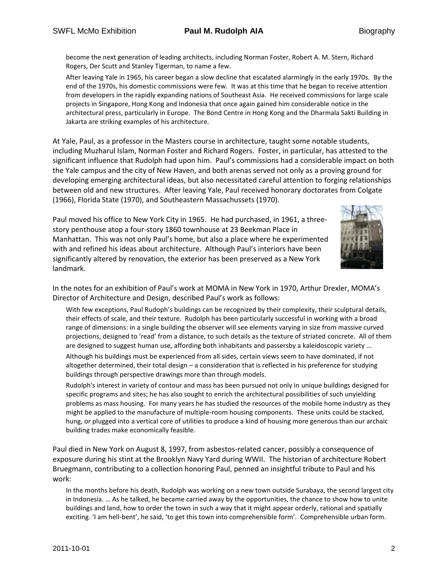become the next generation of leading architects, including Norman Foster, Robert A. M. Stern, Richard Rogers, Der Scutt and Stanley Tigerman, to name a few.

After leaving Yale in 1965, his career began a slow decline that escalated alarmingly in the early 1970s. By the end of the 1970s, his domestic commissions were few. It was at this time that he began to receive attention from developers in the rapidly expanding nations of Southeast Asia. He received commissions for large scale projects in Singapore, Hong Kong and Indonesia that once again gained him considerable notice in the architectural press, particularly in Europe. The Bond Centre in Hong Kong and the Dharmala Sakti Building in Jakarta are striking examples of his architecture.

At Yale, Paul, as a professor in the Masters course in architecture, taught some notable students, including Muzharul Islam, Norman Foster and Richard Rogers. Foster, in particular, has attested to the significant influence that Rudolph had upon him. Paul's commissions had a considerable impact on both the Yale campus and the city of New Haven, and both arenas served not only as a proving ground for developing emerging architectural ideas, but also necessitated careful attention to forging relationships between old and new structures. After leaving Yale, Paul received honorary doctorates from Colgate (1966), Florida State (1970), and Southeastern Massachussets (1970).

Paul moved his office to New York City in 1965. He had purchased, in 1961, a threestory penthouse atop a four-story 1860 townhouse at 23 Beekman Place in Manhattan. This was not only Paul's home, but also a place where he experimented with and refined his ideas about architecture. Although Paul's interiors have been significantly altered by renovation, the exterior has been preserved as a New York landmark.



In the notes for an exhibition of Paul's work at MOMA in New York in 1970, Arthur Drexler, MOMA's Director of Architecture and Design, described Paul's work as follows:

With few exceptions, Paul Rudoph's buildings can be recognized by their complexity, their sculptural details, their effects of scale, and their texture. Rudolph has been particularly successful in working with a broad range of dimensions: in a single building the observer will see elements varying in size from massive curved projections, designed to 'read' from a distance, to such details as the texture of striated concrete. All of them are designed to suggest human use, affording both inhabitants and passersby a kaleidoscopic variety …

Although his buildings must be experienced from all sides, certain views seem to have dominated, if not altogether determined, their total design – a consideration that is reflected in his preference for studying buildings through perspective drawings more than through models.

Rudolph's interest in variety of contour and mass has been pursued not only in unique buildings designed for specific programs and sites; he has also sought to enrich the architectural possibilities of such unyielding problems as mass housing. For many years he has studied the resources of the mobile home industry as they might be applied to the manufacture of multiple-room housing components. These units could be stacked, hung, or plugged into a vertical core of utilities to produce a kind of housing more generous than our archaic building trades make economically feasible.

Paul died in New York on August 8, 1997, from asbestos-related cancer, possibly a consequence of exposure during his stint at the Brooklyn Navy Yard during WWII. The historian of architecture Robert Bruegmann, contributing to a collection honoring Paul, penned an insightful tribute to Paul and his work:

In the months before his death, Rudolph was working on a new town outside Surabaya, the second largest city in Indonesia. … As he talked, he became carried away by the opportunities, the chance to show how to unite buildings and land, how to order the town in such a way that it might appear orderly, rational and spatially exciting. 'I am hell-bent', he said, 'to get this town into comprehensible form'. Comprehensible urban form.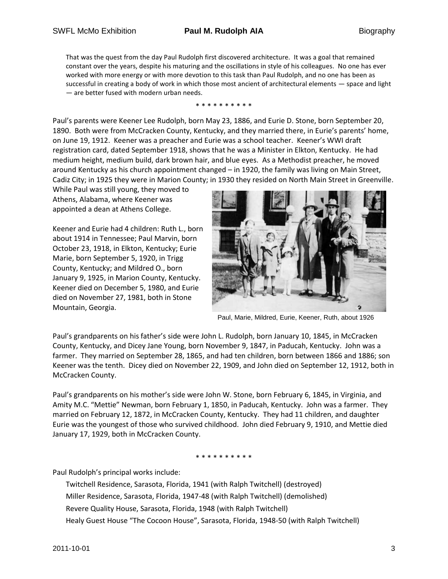That was the quest from the day Paul Rudolph first discovered architecture. It was a goal that remained constant over the years, despite his maturing and the oscillations in style of his colleagues. No one has ever worked with more energy or with more devotion to this task than Paul Rudolph, and no one has been as successful in creating a body of work in which those most ancient of architectural elements — space and light — are better fused with modern urban needs.

\* \* \* \* \* \* \* \* \* \*

Paul's parents were Keener Lee Rudolph, born May 23, 1886, and Eurie D. Stone, born September 20, 1890. Both were from McCracken County, Kentucky, and they married there, in Eurie's parents' home, on June 19, 1912. Keener was a preacher and Eurie was a school teacher. Keener's WWI draft registration card, dated September 1918, shows that he was a Minister in Elkton, Kentucky. He had medium height, medium build, dark brown hair, and blue eyes. As a Methodist preacher, he moved around Kentucky as his church appointment changed – in 1920, the family was living on Main Street, Cadiz City; in 1925 they were in Marion County; in 1930 they resided on North Main Street in Greenville.

While Paul was still young, they moved to Athens, Alabama, where Keener was appointed a dean at Athens College.

Keener and Eurie had 4 children: Ruth L., born about 1914 in Tennessee; Paul Marvin, born October 23, 1918, in Elkton, Kentucky; Eurie Marie, born September 5, 1920, in Trigg County, Kentucky; and Mildred O., born January 9, 1925, in Marion County, Kentucky. Keener died on December 5, 1980, and Eurie died on November 27, 1981, both in Stone Mountain, Georgia.



Paul, Marie, Mildred, Eurie, Keener, Ruth, about 1926

Paul's grandparents on his father's side were John L. Rudolph, born January 10, 1845, in McCracken County, Kentucky, and Dicey Jane Young, born November 9, 1847, in Paducah, Kentucky. John was a farmer. They married on September 28, 1865, and had ten children, born between 1866 and 1886; son Keener was the tenth. Dicey died on November 22, 1909, and John died on September 12, 1912, both in McCracken County.

Paul's grandparents on his mother's side were John W. Stone, born February 6, 1845, in Virginia, and Amity M.C. "Mettie" Newman, born February 1, 1850, in Paducah, Kentucky. John was a farmer. They married on February 12, 1872, in McCracken County, Kentucky. They had 11 children, and daughter Eurie was the youngest of those who survived childhood. John died February 9, 1910, and Mettie died January 17, 1929, both in McCracken County.

\* \* \* \* \* \* \* \* \* \*

Paul Rudolph's principal works include:

Twitchell Residence, Sarasota, Florida, 1941 (with Ralph Twitchell) (destroyed) Miller Residence, Sarasota, Florida, 1947-48 (with Ralph Twitchell) (demolished) Revere Quality House, Sarasota, Florida, 1948 (with Ralph Twitchell) Healy Guest House "The Cocoon House", Sarasota, Florida, 1948-50 (with Ralph Twitchell)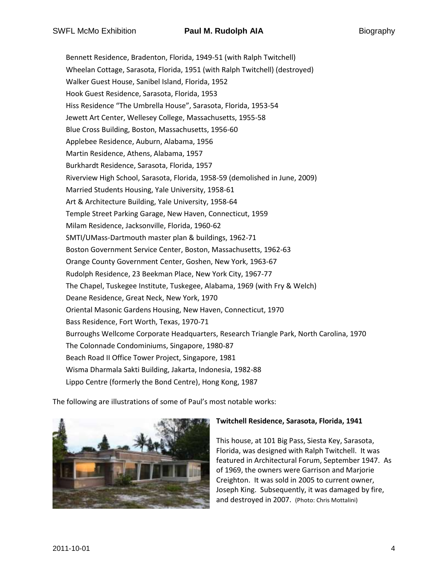Bennett Residence, Bradenton, Florida, 1949-51 (with Ralph Twitchell) Wheelan Cottage, Sarasota, Florida, 1951 (with Ralph Twitchell) (destroyed) Walker Guest House, Sanibel Island, Florida, 1952 Hook Guest Residence, Sarasota, Florida, 1953 Hiss Residence "The Umbrella House", Sarasota, Florida, 1953-54 Jewett Art Center, Wellesey College, Massachusetts, 1955-58 Blue Cross Building, Boston, Massachusetts, 1956-60 Applebee Residence, Auburn, Alabama, 1956 Martin Residence, Athens, Alabama, 1957 Burkhardt Residence, Sarasota, Florida, 1957 Riverview High School, Sarasota, Florida, 1958-59 (demolished in June, 2009) Married Students Housing, Yale University, 1958-61 Art & Architecture Building, Yale University, 1958-64 Temple Street Parking Garage, New Haven, Connecticut, 1959 Milam Residence, Jacksonville, Florida, 1960-62 SMTI/UMass-Dartmouth master plan & buildings, 1962-71 Boston Government Service Center, Boston, Massachusetts, 1962-63 Orange County Government Center, Goshen, New York, 1963-67 Rudolph Residence, 23 Beekman Place, New York City, 1967-77 The Chapel, Tuskegee Institute, Tuskegee, Alabama, 1969 (with Fry & Welch) Deane Residence, Great Neck, New York, 1970 Oriental Masonic Gardens Housing, New Haven, Connecticut, 1970 Bass Residence, Fort Worth, Texas, 1970-71 Burroughs Wellcome Corporate Headquarters, Research Triangle Park, North Carolina, 1970 The Colonnade Condominiums, Singapore, 1980-87 Beach Road II Office Tower Project, Singapore, 1981 Wisma Dharmala Sakti Building, Jakarta, Indonesia, 1982-88 Lippo Centre (formerly the Bond Centre), Hong Kong, 1987

The following are illustrations of some of Paul's most notable works:



#### **Twitchell Residence, Sarasota, Florida, 1941**

This house, at 101 Big Pass, Siesta Key, Sarasota, Florida, was designed with Ralph Twitchell. It was featured in Architectural Forum, September 1947. As of 1969, the owners were Garrison and Marjorie Creighton. It was sold in 2005 to current owner, Joseph King. Subsequently, it was damaged by fire, and destroyed in 2007. (Photo: Chris Mottalini)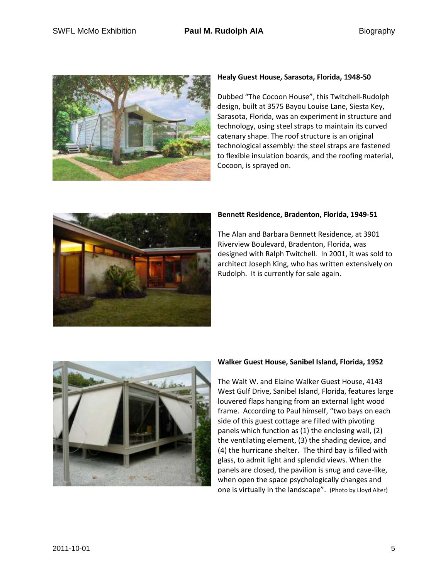

#### **Healy Guest House, Sarasota, Florida, 1948-50**

Dubbed "The Cocoon House", this Twitchell-Rudolph design, built at 3575 Bayou Louise Lane, Siesta Key, Sarasota, Florida, was an experiment in structure and technology, using steel straps to maintain its curved catenary shape. The roof structure is an original technological assembly: the steel straps are fastened to flexible insulation boards, and the roofing material, Cocoon, is sprayed on.



## **Bennett Residence, Bradenton, Florida, 1949-51**

The Alan and Barbara Bennett Residence, at 3901 Riverview Boulevard, Bradenton, Florida, was designed with Ralph Twitchell. In 2001, it was sold to architect Joseph King, who has written extensively on Rudolph. It is currently for sale again.



#### **Walker Guest House, Sanibel Island, Florida, 1952**

The Walt W. and Elaine Walker Guest House, 4143 West Gulf Drive, Sanibel Island, Florida, features large louvered flaps hanging from an external light wood frame. According to Paul himself, "two bays on each side of this guest cottage are filled with pivoting panels which function as (1) the enclosing wall, (2) the ventilating element, (3) the shading device, and (4) the hurricane shelter. The third bay is filled with glass, to admit light and splendid views. When the panels are closed, the pavilion is snug and cave-like, when open the space psychologically changes and one is virtually in the landscape". (Photo by Lloyd Alter)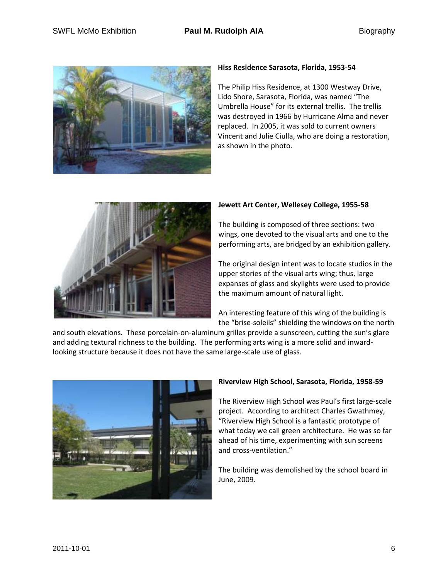

### **Hiss Residence Sarasota, Florida, 1953-54**

The Philip Hiss Residence, at 1300 Westway Drive, Lido Shore, Sarasota, Florida, was named "The Umbrella House" for its external trellis. The trellis was destroyed in 1966 by Hurricane Alma and never replaced. In 2005, it was sold to current owners Vincent and Julie Ciulla, who are doing a restoration, as shown in the photo.



# **Jewett Art Center, Wellesey College, 1955-58**

The building is composed of three sections: two wings, one devoted to the visual arts and one to the performing arts, are bridged by an exhibition gallery.

The original design intent was to locate studios in the upper stories of the visual arts wing; thus, large expanses of glass and skylights were used to provide the maximum amount of natural light.

An interesting feature of this wing of the building is the "brise-soleils" shielding the windows on the north

and south elevations. These porcelain-on-aluminum grilles provide a sunscreen, cutting the sun's glare and adding textural richness to the building. The performing arts wing is a more solid and inwardlooking structure because it does not have the same large-scale use of glass.



# **Riverview High School, Sarasota, Florida, 1958-59**

The Riverview High School was Paul's first large-scale project. According to architect Charles Gwathmey, "Riverview High School is a fantastic prototype of what today we call green architecture. He was so far ahead of his time, experimenting with sun screens and cross-ventilation."

The building was demolished by the school board in June, 2009.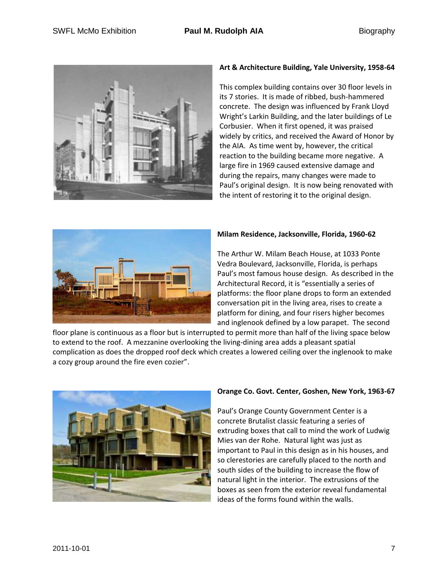

## **Art & Architecture Building, Yale University, 1958-64**

This complex building contains over 30 floor levels in its 7 stories. It is made of ribbed, bush-hammered concrete. The design was influenced by Frank Lloyd Wright's Larkin Building, and the later buildings of Le Corbusier. When it first opened, it was praised widely by critics, and received the Award of Honor by the AIA. As time went by, however, the critical reaction to the building became more negative. A large fire in 1969 caused extensive damage and during the repairs, many changes were made to Paul's original design. It is now being renovated with the intent of restoring it to the original design.



#### **Milam Residence, Jacksonville, Florida, 1960-62**

The Arthur W. Milam Beach House, at 1033 Ponte Vedra Boulevard, Jacksonville, Florida, is perhaps Paul's most famous house design. As described in the Architectural Record, it is "essentially a series of platforms: the floor plane drops to form an extended conversation pit in the living area, rises to create a platform for dining, and four risers higher becomes and inglenook defined by a low parapet. The second

floor plane is continuous as a floor but is interrupted to permit more than half of the living space below to extend to the roof. A mezzanine overlooking the living-dining area adds a pleasant spatial complication as does the dropped roof deck which creates a lowered ceiling over the inglenook to make a cozy group around the fire even cozier".



#### **Orange Co. Govt. Center, Goshen, New York, 1963-67**

Paul's Orange County Government Center is a concrete Brutalist classic featuring a series of extruding boxes that call to mind the work of Ludwig Mies van der Rohe. Natural light was just as important to Paul in this design as in his houses, and so clerestories are carefully placed to the north and south sides of the building to increase the flow of natural light in the interior. The extrusions of the boxes as seen from the exterior reveal fundamental ideas of the forms found within the walls.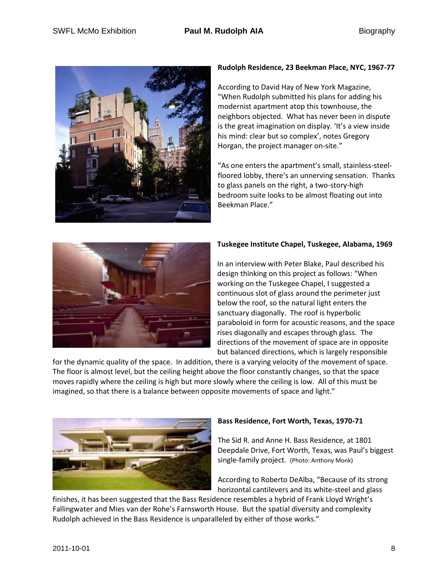

# **Rudolph Residence, 23 Beekman Place, NYC, 1967-77**

According to David Hay of New York Magazine, "When Rudolph submitted his plans for adding his modernist apartment atop this townhouse, the neighbors objected. What has never been in dispute is the great imagination on display. 'It's a view inside his mind: clear but so complex', notes Gregory Horgan, the project manager on-site."

"As one enters the apartment's small, stainless-steelfloored lobby, there's an unnerving sensation. Thanks to glass panels on the right, a two-story-high bedroom suite looks to be almost floating out into Beekman Place."



# **Tuskegee Institute Chapel, Tuskegee, Alabama, 1969**

In an interview with Peter Blake, Paul described his design thinking on this project as follows: "When working on the Tuskegee Chapel, I suggested a continuous slot of glass around the perimeter just below the roof, so the natural light enters the sanctuary diagonally. The roof is hyperbolic paraboloid in form for acoustic reasons, and the space rises diagonally and escapes through glass. The directions of the movement of space are in opposite but balanced directions, which is largely responsible

for the dynamic quality of the space. In addition, there is a varying velocity of the movement of space. The floor is almost level, but the ceiling height above the floor constantly changes, so that the space moves rapidly where the ceiling is high but more slowly where the ceiling is low. All of this must be imagined, so that there is a balance between opposite movements of space and light."



#### **Bass Residence, Fort Worth, Texas, 1970-71**

The Sid R. and Anne H. Bass Residence, at 1801 Deepdale Drive, Fort Worth, Texas, was Paul's biggest single-family project. (Photo: Anthony Monk)

According to Roberto DeAlba, "Because of its strong horizontal cantilevers and its white-steel and glass

finishes, it has been suggested that the Bass Residence resembles a hybrid of Frank Lloyd Wright's Fallingwater and Mies van der Rohe's Farnsworth House. But the spatial diversity and complexity Rudolph achieved in the Bass Residence is unparalleled by either of those works."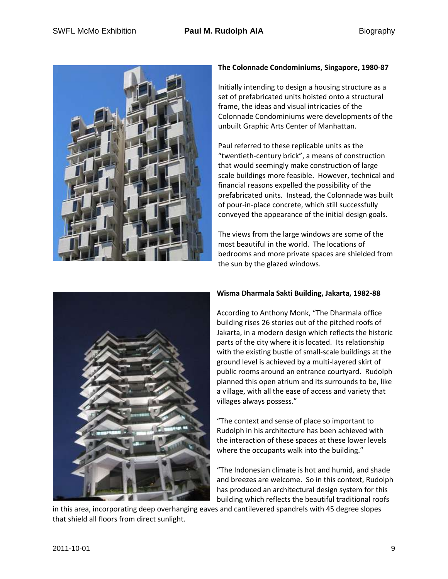

# **The Colonnade Condominiums, Singapore, 1980-87**

Initially intending to design a housing structure as a set of prefabricated units hoisted onto a structural frame, the ideas and visual intricacies of the Colonnade Condominiums were developments of the unbuilt Graphic Arts Center of Manhattan.

Paul referred to these replicable units as the "twentieth-century brick", a means of construction that would seemingly make construction of large scale buildings more feasible. However, technical and financial reasons expelled the possibility of the prefabricated units. Instead, the Colonnade was built of pour-in-place concrete, which still successfully conveyed the appearance of the initial design goals.

The views from the large windows are some of the most beautiful in the world. The locations of bedrooms and more private spaces are shielded from the sun by the glazed windows.



# **Wisma Dharmala Sakti Building, Jakarta, 1982-88**

According to Anthony Monk, "The Dharmala office building rises 26 stories out of the pitched roofs of Jakarta, in a modern design which reflects the historic parts of the city where it is located. Its relationship with the existing bustle of small-scale buildings at the ground level is achieved by a multi-layered skirt of public rooms around an entrance courtyard. Rudolph planned this open atrium and its surrounds to be, like a village, with all the ease of access and variety that villages always possess."

"The context and sense of place so important to Rudolph in his architecture has been achieved with the interaction of these spaces at these lower levels where the occupants walk into the building."

"The Indonesian climate is hot and humid, and shade and breezes are welcome. So in this context, Rudolph has produced an architectural design system for this building which reflects the beautiful traditional roofs

in this area, incorporating deep overhanging eaves and cantilevered spandrels with 45 degree slopes that shield all floors from direct sunlight.